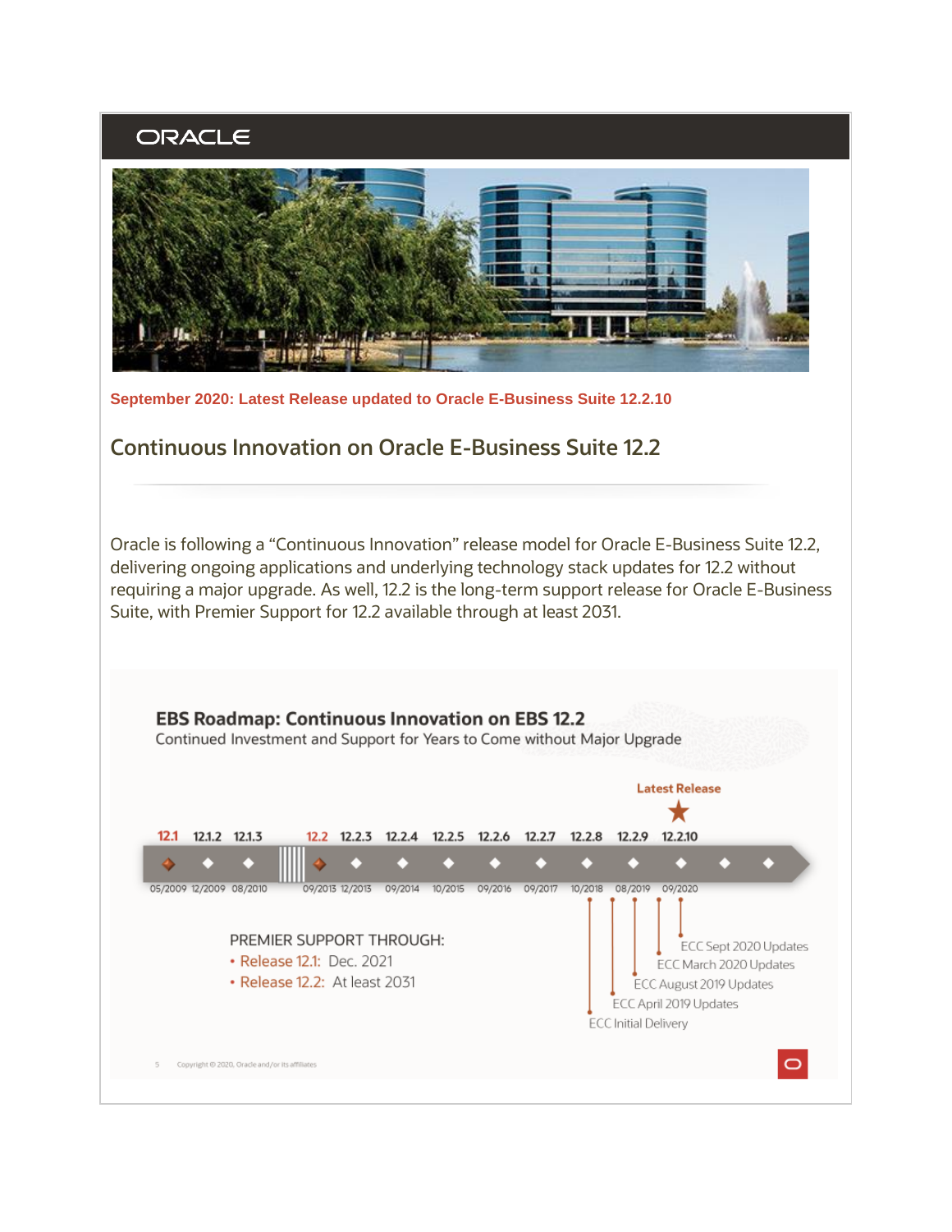## ORACLE



**September 2020: Latest Release updated to Oracle E-Business Suite 12.2.10**

## **Continuous Innovation on Oracle E-Business Suite 12.2**

Oracle is following a "Continuous Innovation" release model for Oracle E-Business Suite 12.2, delivering ongoing applications and underlying technology stack updates for 12.2 without requiring a major upgrade. As well, 12.2 is the long-term support release for Oracle E-Business Suite, with Premier Support for 12.2 available through at least 2031.